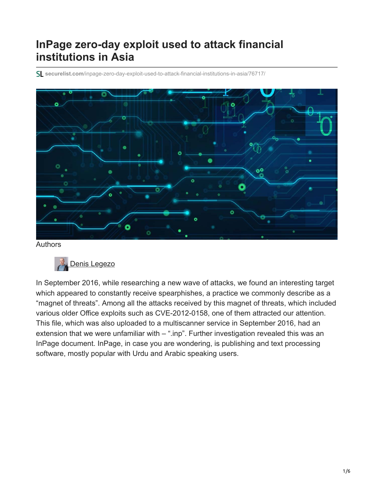# **InPage zero-day exploit used to attack financial institutions in Asia**

**securelist.com**[/inpage-zero-day-exploit-used-to-attack-financial-institutions-in-asia/76717/](https://securelist.com/inpage-zero-day-exploit-used-to-attack-financial-institutions-in-asia/76717/)



Authors



In September 2016, while researching a new wave of attacks, we found an interesting target which appeared to constantly receive spearphishes, a practice we commonly describe as a "magnet of threats". Among all the attacks received by this magnet of threats, which included various older Office exploits such as CVE-2012-0158, one of them attracted our attention. This file, which was also uploaded to a multiscanner service in September 2016, had an extension that we were unfamiliar with – ".inp". Further investigation revealed this was an InPage document. InPage, in case you are wondering, is publishing and text processing software, mostly popular with Urdu and Arabic speaking users.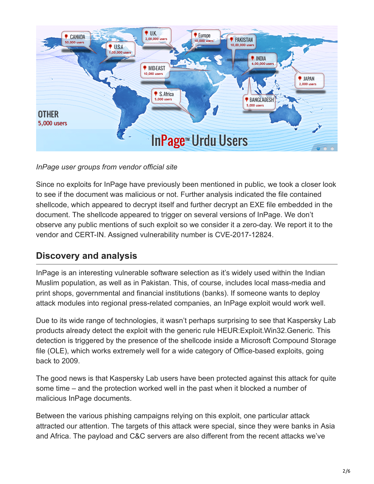

*InPage user groups from vendor official site*

Since no exploits for InPage have previously been mentioned in public, we took a closer look to see if the document was malicious or not. Further analysis indicated the file contained shellcode, which appeared to decrypt itself and further decrypt an EXE file embedded in the document. The shellcode appeared to trigger on several versions of InPage. We don't observe any public mentions of such exploit so we consider it a zero-day. We report it to the vendor and CERT-IN. Assigned vulnerability number is CVE-2017-12824.

### **Discovery and analysis**

InPage is an interesting vulnerable software selection as it's widely used within the Indian Muslim population, as well as in Pakistan. This, of course, includes local mass-media and print shops, governmental and financial institutions (banks). If someone wants to deploy attack modules into regional press-related companies, an InPage exploit would work well.

Due to its wide range of technologies, it wasn't perhaps surprising to see that Kaspersky Lab products already detect the exploit with the generic rule HEUR:Exploit.Win32.Generic. This detection is triggered by the presence of the shellcode inside a Microsoft Compound Storage file (OLE), which works extremely well for a wide category of Office-based exploits, going back to 2009.

The good news is that Kaspersky Lab users have been protected against this attack for quite some time – and the protection worked well in the past when it blocked a number of malicious InPage documents.

Between the various phishing campaigns relying on this exploit, one particular attack attracted our attention. The targets of this attack were special, since they were banks in Asia and Africa. The payload and C&C servers are also different from the recent attacks we've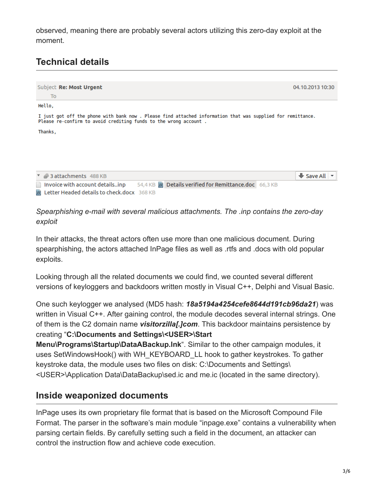observed, meaning there are probably several actors utilizing this zero-day exploit at the moment.

## **Technical details**



*Spearphishing e-mail with several malicious attachments. The .inp contains the zero-day exploit*

In their attacks, the threat actors often use more than one malicious document. During spearphishing, the actors attached InPage files as well as .rtfs and .docs with old popular exploits.

Looking through all the related documents we could find, we counted several different versions of keyloggers and backdoors written mostly in Visual C++, Delphi and Visual Basic.

One such keylogger we analysed (MD5 hash: *18a5194a4254cefe8644d191cb96da21*) was written in Visual C++. After gaining control, the module decodes several internal strings. One of them is the C2 domain name *visitorzilla[.]com*. This backdoor maintains persistence by creating "**C:\Documents and Settings\<USER>\Start**

**Menu\Programs\Startup\DataABackup.lnk**". Similar to the other campaign modules, it uses SetWindowsHook() with WH\_KEYBOARD\_LL hook to gather keystrokes. To gather keystroke data, the module uses two files on disk: C:\Documents and Settings\ <USER>\Application Data\DataBackup\sed.ic and me.ic (located in the same directory).

#### **Inside weaponized documents**

InPage uses its own proprietary file format that is based on the Microsoft Compound File Format. The parser in the software's main module "inpage.exe" contains a vulnerability when parsing certain fields. By carefully setting such a field in the document, an attacker can control the instruction flow and achieve code execution.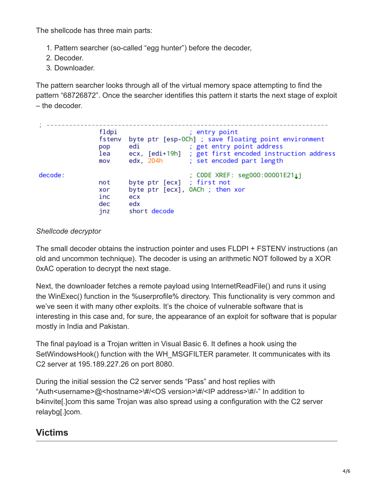The shellcode has three main parts:

- 1. Pattern searcher (so-called "egg hunter") before the decoder,
- 2. Decoder.
- 3. Downloader.

The pattern searcher looks through all of the virtual memory space attempting to find the pattern "68726872". Once the searcher identifies this pattern it starts the next stage of exploit – the decoder.

|         | fldpi<br>fstenv<br>pop<br>lea<br>mov | edi                                                                                           | ; entry point<br>byte ptr [esp-OCh] ; save floating point environment<br>; get entry point address<br>ecx, [edi+19h] ; get first encoded instruction address<br>edx, 2D4h ; set encoded part length |
|---------|--------------------------------------|-----------------------------------------------------------------------------------------------|-----------------------------------------------------------------------------------------------------------------------------------------------------------------------------------------------------|
| decode: | not<br>xor<br>inc<br>dec<br>jnz      | byte ptr $[ecx]$ ; first not<br>byte ptr [ecx], OACh ; then xor<br>ecx<br>edx<br>short decode | : CODE XREF: seg000:00001E211j                                                                                                                                                                      |

#### *Shellcode decryptor*

The small decoder obtains the instruction pointer and uses FLDPI + FSTENV instructions (an old and uncommon technique). The decoder is using an arithmetic NOT followed by a XOR 0xAC operation to decrypt the next stage.

Next, the downloader fetches a remote payload using InternetReadFile() and runs it using the WinExec() function in the %userprofile% directory. This functionality is very common and we've seen it with many other exploits. It's the choice of vulnerable software that is interesting in this case and, for sure, the appearance of an exploit for software that is popular mostly in India and Pakistan.

The final payload is a Trojan written in Visual Basic 6. It defines a hook using the SetWindowsHook() function with the WH\_MSGFILTER parameter. It communicates with its C2 server at 195.189.227.26 on port 8080.

During the initial session the C2 server sends "Pass" and host replies with "Auth<username>@<hostname>\#/<OS version>\#/<IP address>\#/-" In addition to b4invite[.]com this same Trojan was also spread using a configuration with the C2 server relaybg[.]com.

## **Victims**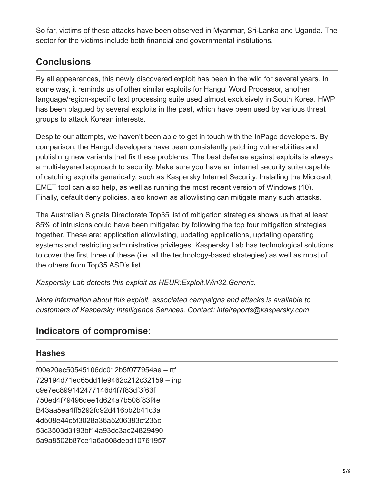So far, victims of these attacks have been observed in Myanmar, Sri-Lanka and Uganda. The sector for the victims include both financial and governmental institutions.

### **Conclusions**

By all appearances, this newly discovered exploit has been in the wild for several years. In some way, it reminds us of other similar exploits for Hangul Word Processor, another language/region-specific text processing suite used almost exclusively in South Korea. HWP has been plagued by several exploits in the past, which have been used by various threat groups to attack Korean interests.

Despite our attempts, we haven't been able to get in touch with the InPage developers. By comparison, the Hangul developers have been consistently patching vulnerabilities and publishing new variants that fix these problems. The best defense against exploits is always a multi-layered approach to security. Make sure you have an internet security suite capable of catching exploits generically, such as Kaspersky Internet Security. Installing the Microsoft EMET tool can also help, as well as running the most recent version of Windows (10). Finally, default deny policies, also known as allowlisting can mitigate many such attacks.

The Australian Signals Directorate Top35 list of mitigation strategies shows us that at least 85% of intrusions [could have been mitigated by following the top four mitigation strategies](https://securelist.com/blog/software/69887/how-to-mitigate-85-of-threats-with-only-four-strategies/) together. These are: application allowlisting, updating applications, updating operating systems and restricting administrative privileges. Kaspersky Lab has technological solutions to cover the first three of these (i.e. all the technology-based strategies) as well as most of the others from Top35 ASD's list.

*Kaspersky Lab detects this exploit as HEUR:Exploit.Win32.Generic.*

*More information about this exploit, associated campaigns and attacks is available to customers of Kaspersky Intelligence Services. Contact: intelreports@kaspersky.com*

### **Indicators of compromise:**

#### **Hashes**

f00e20ec50545106dc012b5f077954ae – rtf 729194d71ed65dd1fe9462c212c32159 – inp c9e7ec899142477146d4f7f83df3f63f 750ed4f79496dee1d624a7b508f83f4e B43aa5ea4ff5292fd92d416bb2b41c3a 4d508e44c5f3028a36a5206383cf235c 53c3503d3193bf14a93dc3ac24829490 5a9a8502b87ce1a6a608debd10761957